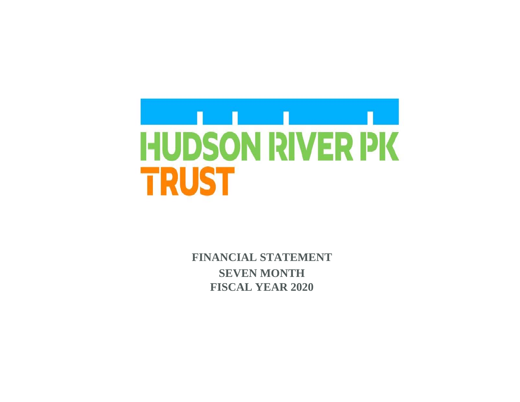

 **FINANCIAL STATEMENT SEVEN MONTH FISCAL YEAR 2020**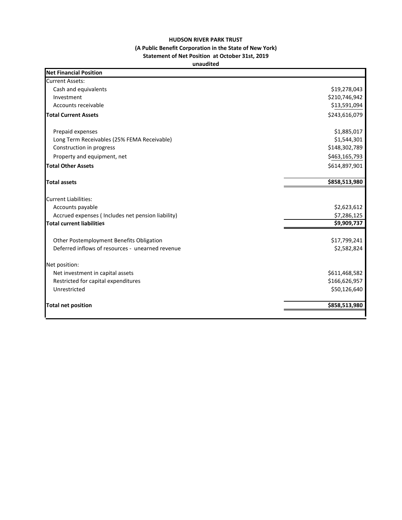## **HUDSON RIVER PARK TRUST (A Public Benefit Corporation in the State of New York) Statement of Net Position at October 31st, 2019**

## **unaudited**

| <b>Net Financial Position</b>                     |               |
|---------------------------------------------------|---------------|
| <b>Current Assets:</b>                            |               |
| Cash and equivalents                              | \$19,278,043  |
| Investment                                        | \$210,746,942 |
| Accounts receivable                               | \$13,591,094  |
| <b>Total Current Assets</b>                       | \$243,616,079 |
| Prepaid expenses                                  | \$1,885,017   |
| Long Term Receivables (25% FEMA Receivable)       | \$1,544,301   |
| Construction in progress                          | \$148,302,789 |
| Property and equipment, net                       | \$463,165,793 |
| <b>Total Other Assets</b>                         | \$614,897,901 |
| <b>Total assets</b>                               | \$858,513,980 |
| <b>Current Liabilities:</b>                       |               |
| Accounts payable                                  | \$2,623,612   |
| Accrued expenses (Includes net pension liability) | \$7,286,125   |
| <b>Total current liabilities</b>                  | \$9,909,737   |
| Other Postemployment Benefits Obligation          | \$17,799,241  |
| Deferred inflows of resources - unearned revenue  | \$2,582,824   |
| Net position:                                     |               |
| Net investment in capital assets                  | \$611,468,582 |
| Restricted for capital expenditures               | \$166,626,957 |
| Unrestricted                                      | \$50,126,640  |
| <b>Total net position</b>                         | \$858,513,980 |
|                                                   |               |